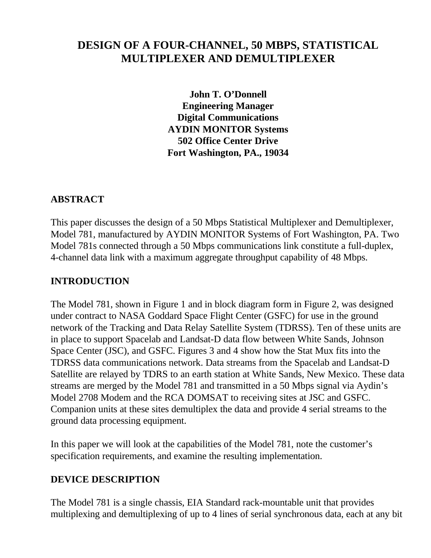# **DESIGN OF A FOUR-CHANNEL, 50 MBPS, STATISTICAL MULTIPLEXER AND DEMULTIPLEXER**

**John T. O'Donnell Engineering Manager Digital Communications AYDIN MONITOR Systems 502 Office Center Drive Fort Washington, PA., 19034**

### **ABSTRACT**

This paper discusses the design of a 50 Mbps Statistical Multiplexer and Demultiplexer, Model 781, manufactured by AYDIN MONITOR Systems of Fort Washington, PA. Two Model 781s connected through a 50 Mbps communications link constitute a full-duplex, 4-channel data link with a maximum aggregate throughput capability of 48 Mbps.

#### **INTRODUCTION**

The Model 781, shown in Figure 1 and in block diagram form in Figure 2, was designed under contract to NASA Goddard Space Flight Center (GSFC) for use in the ground network of the Tracking and Data Relay Satellite System (TDRSS). Ten of these units are in place to support Spacelab and Landsat-D data flow between White Sands, Johnson Space Center (JSC), and GSFC. Figures 3 and 4 show how the Stat Mux fits into the TDRSS data communications network. Data streams from the Spacelab and Landsat-D Satellite are relayed by TDRS to an earth station at White Sands, New Mexico. These data streams are merged by the Model 781 and transmitted in a 50 Mbps signal via Aydin's Model 2708 Modem and the RCA DOMSAT to receiving sites at JSC and GSFC. Companion units at these sites demultiplex the data and provide 4 serial streams to the ground data processing equipment.

In this paper we will look at the capabilities of the Model 781, note the customer's specification requirements, and examine the resulting implementation.

#### **DEVICE DESCRIPTION**

The Model 781 is a single chassis, EIA Standard rack-mountable unit that provides multiplexing and demultiplexing of up to 4 lines of serial synchronous data, each at any bit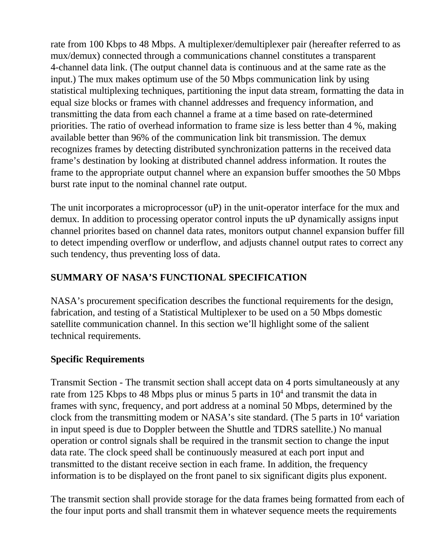rate from 100 Kbps to 48 Mbps. A multiplexer/demultiplexer pair (hereafter referred to as mux/demux) connected through a communications channel constitutes a transparent 4-channel data link. (The output channel data is continuous and at the same rate as the input.) The mux makes optimum use of the 50 Mbps communication link by using statistical multiplexing techniques, partitioning the input data stream, formatting the data in equal size blocks or frames with channel addresses and frequency information, and transmitting the data from each channel a frame at a time based on rate-determined priorities. The ratio of overhead information to frame size is less better than 4 %, making available better than 96% of the communication link bit transmission. The demux recognizes frames by detecting distributed synchronization patterns in the received data frame's destination by looking at distributed channel address information. It routes the frame to the appropriate output channel where an expansion buffer smoothes the 50 Mbps burst rate input to the nominal channel rate output.

The unit incorporates a microprocessor (uP) in the unit-operator interface for the mux and demux. In addition to processing operator control inputs the uP dynamically assigns input channel priorites based on channel data rates, monitors output channel expansion buffer fill to detect impending overflow or underflow, and adjusts channel output rates to correct any such tendency, thus preventing loss of data.

# **SUMMARY OF NASA'S FUNCTIONAL SPECIFICATION**

NASA's procurement specification describes the functional requirements for the design, fabrication, and testing of a Statistical Multiplexer to be used on a 50 Mbps domestic satellite communication channel. In this section we'll highlight some of the salient technical requirements.

# **Specific Requirements**

Transmit Section - The transmit section shall accept data on 4 ports simultaneously at any rate from 125 Kbps to 48 Mbps plus or minus 5 parts in  $10<sup>4</sup>$  and transmit the data in frames with sync, frequency, and port address at a nominal 50 Mbps, determined by the clock from the transmitting modem or NASA's site standard. (The 5 parts in  $10<sup>4</sup>$  variation in input speed is due to Doppler between the Shuttle and TDRS satellite.) No manual operation or control signals shall be required in the transmit section to change the input data rate. The clock speed shall be continuously measured at each port input and transmitted to the distant receive section in each frame. In addition, the frequency information is to be displayed on the front panel to six significant digits plus exponent.

The transmit section shall provide storage for the data frames being formatted from each of the four input ports and shall transmit them in whatever sequence meets the requirements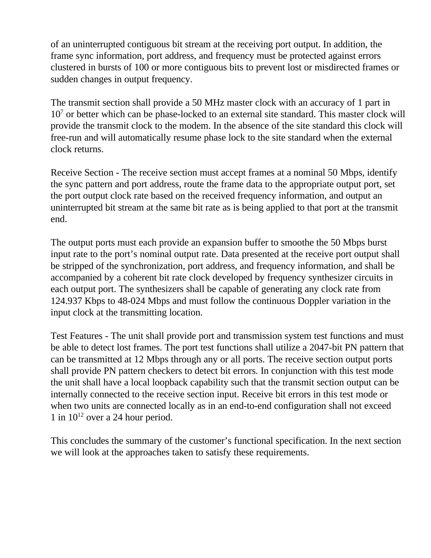of an uninterrupted contiguous bit stream at the receiving port output. In addition, the frame sync information, port address, and frequency must be protected against errors clustered in bursts of 100 or more contiguous bits to prevent lost or misdirected frames or sudden changes in output frequency.

The transmit section shall provide a 50 MHz master clock with an accuracy of 1 part in 10<sup>7</sup> or better which can be phase-locked to an external site standard. This master clock will provide the transmit clock to the modem. In the absence of the site standard this clock will free-run and will automatically resume phase lock to the site standard when the external clock returns.

Receive Section - The receive section must accept frames at a nominal 50 Mbps, identify the sync pattern and port address, route the frame data to the appropriate output port, set the port output clock rate based on the received frequency information, and output an uninterrupted bit stream at the same bit rate as is being applied to that port at the transmit end.

The output ports must each provide an expansion buffer to smoothe the 50 Mbps burst input rate to the port's nominal output rate. Data presented at the receive port output shall be stripped of the synchronization, port address, and frequency information, and shall be accompanied by a coherent bit rate clock developed by frequency synthesizer circuits in each output port. The synthesizers shall be capable of generating any clock rate from 124.937 Kbps to 48-024 Mbps and must follow the continuous Doppler variation in the input clock at the transmitting location.

Test Features - The unit shall provide port and transmission system test functions and must be able to detect lost frames. The port test functions shall utilize a 2047-bit PN pattern that can be transmitted at 12 Mbps through any or all ports. The receive section output ports shall provide PN pattern checkers to detect bit errors. In conjunction with this test mode the unit shall have a local loopback capability such that the transmit section output can be internally connected to the receive section input. Receive bit errors in this test mode or when two units are connected locally as in an end-to-end configuration shall not exceed 1 in  $10^{12}$  over a 24 hour period.

This concludes the summary of the customer's functional specification. In the next section we will look at the approaches taken to satisfy these requirements.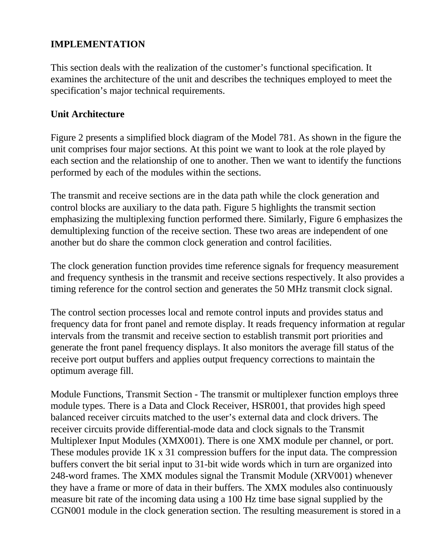# **IMPLEMENTATION**

This section deals with the realization of the customer's functional specification. It examines the architecture of the unit and describes the techniques employed to meet the specification's major technical requirements.

#### **Unit Architecture**

Figure 2 presents a simplified block diagram of the Model 781. As shown in the figure the unit comprises four major sections. At this point we want to look at the role played by each section and the relationship of one to another. Then we want to identify the functions performed by each of the modules within the sections.

The transmit and receive sections are in the data path while the clock generation and control blocks are auxiliary to the data path. Figure 5 highlights the transmit section emphasizing the multiplexing function performed there. Similarly, Figure 6 emphasizes the demultiplexing function of the receive section. These two areas are independent of one another but do share the common clock generation and control facilities.

The clock generation function provides time reference signals for frequency measurement and frequency synthesis in the transmit and receive sections respectively. It also provides a timing reference for the control section and generates the 50 MHz transmit clock signal.

The control section processes local and remote control inputs and provides status and frequency data for front panel and remote display. It reads frequency information at regular intervals from the transmit and receive section to establish transmit port priorities and generate the front panel frequency displays. It also monitors the average fill status of the receive port output buffers and applies output frequency corrections to maintain the optimum average fill.

Module Functions, Transmit Section - The transmit or multiplexer function employs three module types. There is a Data and Clock Receiver, HSR001, that provides high speed balanced receiver circuits matched to the user's external data and clock drivers. The receiver circuits provide differential-mode data and clock signals to the Transmit Multiplexer Input Modules (XMX001). There is one XMX module per channel, or port. These modules provide 1K x 31 compression buffers for the input data. The compression buffers convert the bit serial input to 31-bit wide words which in turn are organized into 248-word frames. The XMX modules signal the Transmit Module (XRV001) whenever they have a frame or more of data in their buffers. The XMX modules also continuously measure bit rate of the incoming data using a 100 Hz time base signal supplied by the CGN001 module in the clock generation section. The resulting measurement is stored in a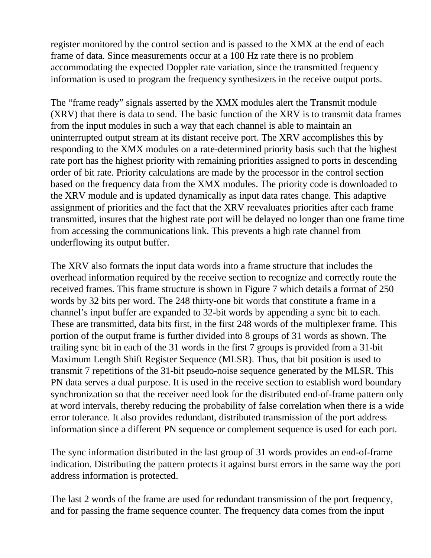register monitored by the control section and is passed to the XMX at the end of each frame of data. Since measurements occur at a 100 Hz rate there is no problem accommodating the expected Doppler rate variation, since the transmitted frequency information is used to program the frequency synthesizers in the receive output ports.

The "frame ready" signals asserted by the XMX modules alert the Transmit module (XRV) that there is data to send. The basic function of the XRV is to transmit data frames from the input modules in such a way that each channel is able to maintain an uninterrupted output stream at its distant receive port. The XRV accomplishes this by responding to the XMX modules on a rate-determined priority basis such that the highest rate port has the highest priority with remaining priorities assigned to ports in descending order of bit rate. Priority calculations are made by the processor in the control section based on the frequency data from the XMX modules. The priority code is downloaded to the XRV module and is updated dynamically as input data rates change. This adaptive assignment of priorities and the fact that the XRV reevaluates priorities after each frame transmitted, insures that the highest rate port will be delayed no longer than one frame time from accessing the communications link. This prevents a high rate channel from underflowing its output buffer.

The XRV also formats the input data words into a frame structure that includes the overhead information required by the receive section to recognize and correctly route the received frames. This frame structure is shown in Figure 7 which details a format of 250 words by 32 bits per word. The 248 thirty-one bit words that constitute a frame in a channel's input buffer are expanded to 32-bit words by appending a sync bit to each. These are transmitted, data bits first, in the first 248 words of the multiplexer frame. This portion of the output frame is further divided into 8 groups of 31 words as shown. The trailing sync bit in each of the 31 words in the first 7 groups is provided from a 31-bit Maximum Length Shift Register Sequence (MLSR). Thus, that bit position is used to transmit 7 repetitions of the 31-bit pseudo-noise sequence generated by the MLSR. This PN data serves a dual purpose. It is used in the receive section to establish word boundary synchronization so that the receiver need look for the distributed end-of-frame pattern only at word intervals, thereby reducing the probability of false correlation when there is a wide error tolerance. It also provides redundant, distributed transmission of the port address information since a different PN sequence or complement sequence is used for each port.

The sync information distributed in the last group of 31 words provides an end-of-frame indication. Distributing the pattern protects it against burst errors in the same way the port address information is protected.

The last 2 words of the frame are used for redundant transmission of the port frequency, and for passing the frame sequence counter. The frequency data comes from the input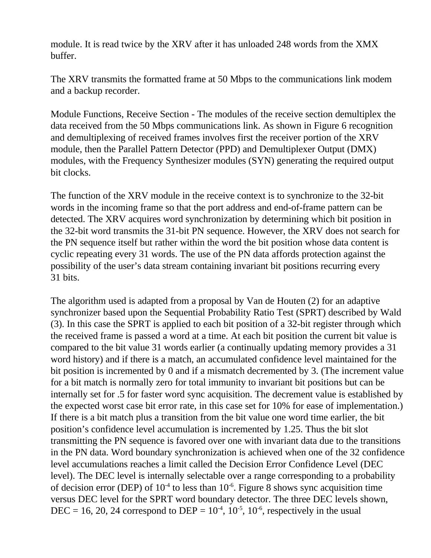module. It is read twice by the XRV after it has unloaded 248 words from the XMX buffer.

The XRV transmits the formatted frame at 50 Mbps to the communications link modem and a backup recorder.

Module Functions, Receive Section - The modules of the receive section demultiplex the data received from the 50 Mbps communications link. As shown in Figure 6 recognition and demultiplexing of received frames involves first the receiver portion of the XRV module, then the Parallel Pattern Detector (PPD) and Demultiplexer Output (DMX) modules, with the Frequency Synthesizer modules (SYN) generating the required output bit clocks.

The function of the XRV module in the receive context is to synchronize to the 32-bit words in the incoming frame so that the port address and end-of-frame pattern can be detected. The XRV acquires word synchronization by determining which bit position in the 32-bit word transmits the 31-bit PN sequence. However, the XRV does not search for the PN sequence itself but rather within the word the bit position whose data content is cyclic repeating every 31 words. The use of the PN data affords protection against the possibility of the user's data stream containing invariant bit positions recurring every 31 bits.

The algorithm used is adapted from a proposal by Van de Houten (2) for an adaptive synchronizer based upon the Sequential Probability Ratio Test (SPRT) described by Wald (3). In this case the SPRT is applied to each bit position of a 32-bit register through which the received frame is passed a word at a time. At each bit position the current bit value is compared to the bit value 31 words earlier (a continually updating memory provides a 31 word history) and if there is a match, an accumulated confidence level maintained for the bit position is incremented by 0 and if a mismatch decremented by 3. (The increment value for a bit match is normally zero for total immunity to invariant bit positions but can be internally set for .5 for faster word sync acquisition. The decrement value is established by the expected worst case bit error rate, in this case set for 10% for ease of implementation.) If there is a bit match plus a transition from the bit value one word time earlier, the bit position's confidence level accumulation is incremented by 1.25. Thus the bit slot transmitting the PN sequence is favored over one with invariant data due to the transitions in the PN data. Word boundary synchronization is achieved when one of the 32 confidence level accumulations reaches a limit called the Decision Error Confidence Level (DEC level). The DEC level is internally selectable over a range corresponding to a probability of decision error (DEP) of  $10^{-4}$  to less than  $10^{-6}$ . Figure 8 shows sync acquisition time versus DEC level for the SPRT word boundary detector. The three DEC levels shown, DEC = 16, 20, 24 correspond to DEP =  $10^{-4}$ ,  $10^{-5}$ ,  $10^{-6}$ , respectively in the usual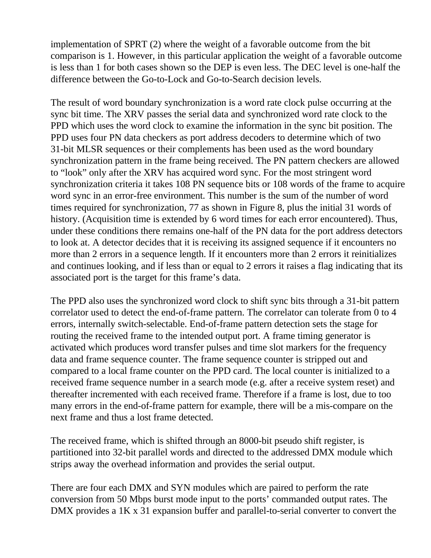implementation of SPRT (2) where the weight of a favorable outcome from the bit comparison is 1. However, in this particular application the weight of a favorable outcome is less than 1 for both cases shown so the DEP is even less. The DEC level is one-half the difference between the Go-to-Lock and Go-to-Search decision levels.

The result of word boundary synchronization is a word rate clock pulse occurring at the sync bit time. The XRV passes the serial data and synchronized word rate clock to the PPD which uses the word clock to examine the information in the sync bit position. The PPD uses four PN data checkers as port address decoders to determine which of two 31-bit MLSR sequences or their complements has been used as the word boundary synchronization pattern in the frame being received. The PN pattern checkers are allowed to "look" only after the XRV has acquired word sync. For the most stringent word synchronization criteria it takes 108 PN sequence bits or 108 words of the frame to acquire word sync in an error-free environment. This number is the sum of the number of word times required for synchronization, 77 as shown in Figure 8, plus the initial 31 words of history. (Acquisition time is extended by 6 word times for each error encountered). Thus, under these conditions there remains one-half of the PN data for the port address detectors to look at. A detector decides that it is receiving its assigned sequence if it encounters no more than 2 errors in a sequence length. If it encounters more than 2 errors it reinitializes and continues looking, and if less than or equal to 2 errors it raises a flag indicating that its associated port is the target for this frame's data.

The PPD also uses the synchronized word clock to shift sync bits through a 31-bit pattern correlator used to detect the end-of-frame pattern. The correlator can tolerate from 0 to 4 errors, internally switch-selectable. End-of-frame pattern detection sets the stage for routing the received frame to the intended output port. A frame timing generator is activated which produces word transfer pulses and time slot markers for the frequency data and frame sequence counter. The frame sequence counter is stripped out and compared to a local frame counter on the PPD card. The local counter is initialized to a received frame sequence number in a search mode (e.g. after a receive system reset) and thereafter incremented with each received frame. Therefore if a frame is lost, due to too many errors in the end-of-frame pattern for example, there will be a mis-compare on the next frame and thus a lost frame detected.

The received frame, which is shifted through an 8000-bit pseudo shift register, is partitioned into 32-bit parallel words and directed to the addressed DMX module which strips away the overhead information and provides the serial output.

There are four each DMX and SYN modules which are paired to perform the rate conversion from 50 Mbps burst mode input to the ports' commanded output rates. The DMX provides a 1K x 31 expansion buffer and parallel-to-serial converter to convert the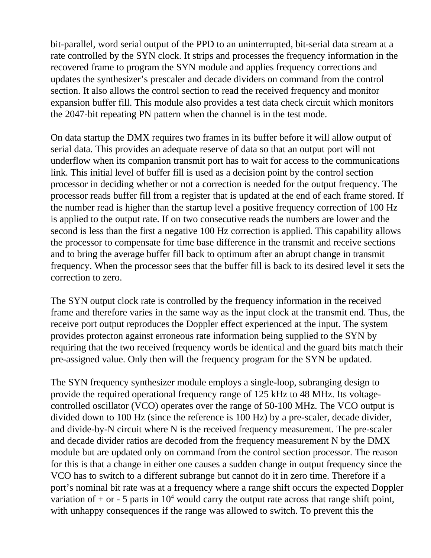bit-parallel, word serial output of the PPD to an uninterrupted, bit-serial data stream at a rate controlled by the SYN clock. It strips and processes the frequency information in the recovered frame to program the SYN module and applies frequency corrections and updates the synthesizer's prescaler and decade dividers on command from the control section. It also allows the control section to read the received frequency and monitor expansion buffer fill. This module also provides a test data check circuit which monitors the 2047-bit repeating PN pattern when the channel is in the test mode.

On data startup the DMX requires two frames in its buffer before it will allow output of serial data. This provides an adequate reserve of data so that an output port will not underflow when its companion transmit port has to wait for access to the communications link. This initial level of buffer fill is used as a decision point by the control section processor in deciding whether or not a correction is needed for the output frequency. The processor reads buffer fill from a register that is updated at the end of each frame stored. If the number read is higher than the startup level a positive frequency correction of 100 Hz is applied to the output rate. If on two consecutive reads the numbers are lower and the second is less than the first a negative 100 Hz correction is applied. This capability allows the processor to compensate for time base difference in the transmit and receive sections and to bring the average buffer fill back to optimum after an abrupt change in transmit frequency. When the processor sees that the buffer fill is back to its desired level it sets the correction to zero.

The SYN output clock rate is controlled by the frequency information in the received frame and therefore varies in the same way as the input clock at the transmit end. Thus, the receive port output reproduces the Doppler effect experienced at the input. The system provides protecton against erroneous rate information being supplied to the SYN by requiring that the two received frequency words be identical and the guard bits match their pre-assigned value. Only then will the frequency program for the SYN be updated.

The SYN frequency synthesizer module employs a single-loop, subranging design to provide the required operational frequency range of 125 kHz to 48 MHz. Its voltagecontrolled oscillator (VCO) operates over the range of 50-100 MHz. The VCO output is divided down to 100 Hz (since the reference is 100 Hz) by a pre-scaler, decade divider, and divide-by-N circuit where N is the received frequency measurement. The pre-scaler and decade divider ratios are decoded from the frequency measurement N by the DMX module but are updated only on command from the control section processor. The reason for this is that a change in either one causes a sudden change in output frequency since the VCO has to switch to a different subrange but cannot do it in zero time. Therefore if a port's nominal bit rate was at a frequency where a range shift occurs the expected Doppler variation of  $+$  or  $-$  5 parts in 10<sup>4</sup> would carry the output rate across that range shift point, with unhappy consequences if the range was allowed to switch. To prevent this the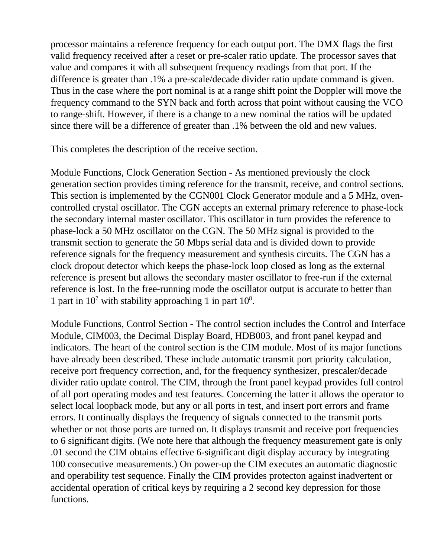processor maintains a reference frequency for each output port. The DMX flags the first valid frequency received after a reset or pre-scaler ratio update. The processor saves that value and compares it with all subsequent frequency readings from that port. If the difference is greater than .1% a pre-scale/decade divider ratio update command is given. Thus in the case where the port nominal is at a range shift point the Doppler will move the frequency command to the SYN back and forth across that point without causing the VCO to range-shift. However, if there is a change to a new nominal the ratios will be updated since there will be a difference of greater than .1% between the old and new values.

This completes the description of the receive section.

Module Functions, Clock Generation Section - As mentioned previously the clock generation section provides timing reference for the transmit, receive, and control sections. This section is implemented by the CGN001 Clock Generator module and a 5 MHz, ovencontrolled crystal oscillator. The CGN accepts an external primary reference to phase-lock the secondary internal master oscillator. This oscillator in turn provides the reference to phase-lock a 50 MHz oscillator on the CGN. The 50 MHz signal is provided to the transmit section to generate the 50 Mbps serial data and is divided down to provide reference signals for the frequency measurement and synthesis circuits. The CGN has a clock dropout detector which keeps the phase-lock loop closed as long as the external reference is present but allows the secondary master oscillator to free-run if the external reference is lost. In the free-running mode the oscillator output is accurate to better than 1 part in  $10^7$  with stability approaching 1 in part  $10^8$ .

Module Functions, Control Section - The control section includes the Control and Interface Module, CIM003, the Decimal Display Board, HDB003, and front panel keypad and indicators. The heart of the control section is the CIM module. Most of its major functions have already been described. These include automatic transmit port priority calculation, receive port frequency correction, and, for the frequency synthesizer, prescaler/decade divider ratio update control. The CIM, through the front panel keypad provides full control of all port operating modes and test features. Concerning the latter it allows the operator to select local loopback mode, but any or all ports in test, and insert port errors and frame errors. It continually displays the frequency of signals connected to the transmit ports whether or not those ports are turned on. It displays transmit and receive port frequencies to 6 significant digits. (We note here that although the frequency measurement gate is only .01 second the CIM obtains effective 6-significant digit display accuracy by integrating 100 consecutive measurements.) On power-up the CIM executes an automatic diagnostic and operability test sequence. Finally the CIM provides protecton against inadvertent or accidental operation of critical keys by requiring a 2 second key depression for those functions.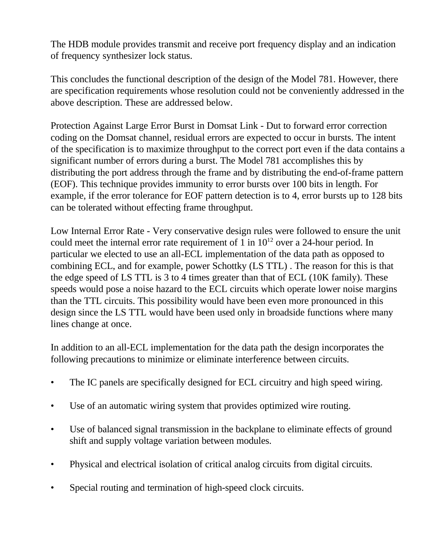The HDB module provides transmit and receive port frequency display and an indication of frequency synthesizer lock status.

This concludes the functional description of the design of the Model 781. However, there are specification requirements whose resolution could not be conveniently addressed in the above description. These are addressed below.

Protection Against Large Error Burst in Domsat Link - Dut to forward error correction coding on the Domsat channel, residual errors are expected to occur in bursts. The intent of the specification is to maximize throughput to the correct port even if the data contains a significant number of errors during a burst. The Model 781 accomplishes this by distributing the port address through the frame and by distributing the end-of-frame pattern (EOF). This technique provides immunity to error bursts over 100 bits in length. For example, if the error tolerance for EOF pattern detection is to 4, error bursts up to 128 bits can be tolerated without effecting frame throughput.

Low Internal Error Rate - Very conservative design rules were followed to ensure the unit could meet the internal error rate requirement of 1 in  $10^{12}$  over a 24-hour period. In particular we elected to use an all-ECL implementation of the data path as opposed to combining ECL, and for example, power Schottky (LS TTL) . The reason for this is that the edge speed of LS TTL is 3 to 4 times greater than that of ECL (10K family). These speeds would pose a noise hazard to the ECL circuits which operate lower noise margins than the TTL circuits. This possibility would have been even more pronounced in this design since the LS TTL would have been used only in broadside functions where many lines change at once.

In addition to an all-ECL implementation for the data path the design incorporates the following precautions to minimize or eliminate interference between circuits.

- The IC panels are specifically designed for ECL circuitry and high speed wiring.
- Use of an automatic wiring system that provides optimized wire routing.
- Use of balanced signal transmission in the backplane to eliminate effects of ground shift and supply voltage variation between modules.
- Physical and electrical isolation of critical analog circuits from digital circuits.
- Special routing and termination of high-speed clock circuits.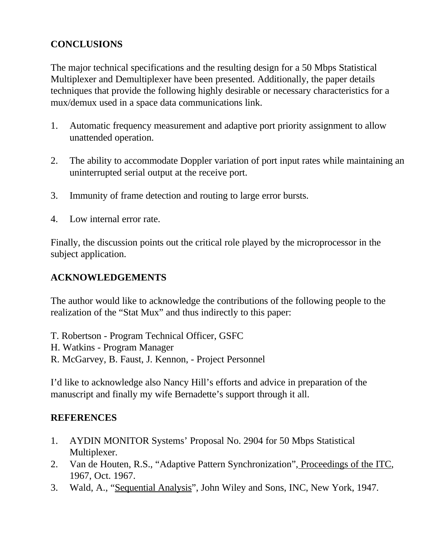# **CONCLUSIONS**

The major technical specifications and the resulting design for a 50 Mbps Statistical Multiplexer and Demultiplexer have been presented. Additionally, the paper details techniques that provide the following highly desirable or necessary characteristics for a mux/demux used in a space data communications link.

- 1. Automatic frequency measurement and adaptive port priority assignment to allow unattended operation.
- 2. The ability to accommodate Doppler variation of port input rates while maintaining an uninterrupted serial output at the receive port.
- 3. Immunity of frame detection and routing to large error bursts.
- 4. Low internal error rate.

Finally, the discussion points out the critical role played by the microprocessor in the subject application.

#### **ACKNOWLEDGEMENTS**

The author would like to acknowledge the contributions of the following people to the realization of the "Stat Mux" and thus indirectly to this paper:

- T. Robertson Program Technical Officer, GSFC
- H. Watkins Program Manager
- R. McGarvey, B. Faust, J. Kennon, Project Personnel

I'd like to acknowledge also Nancy Hill's efforts and advice in preparation of the manuscript and finally my wife Bernadette's support through it all.

#### **REFERENCES**

- 1. AYDIN MONITOR Systems' Proposal No. 2904 for 50 Mbps Statistical Multiplexer.
- 2. Van de Houten, R.S., "Adaptive Pattern Synchronization", Proceedings of the ITC, 1967, Oct. 1967.
- 3. Wald, A., "Sequential Analysis", John Wiley and Sons, INC, New York, 1947.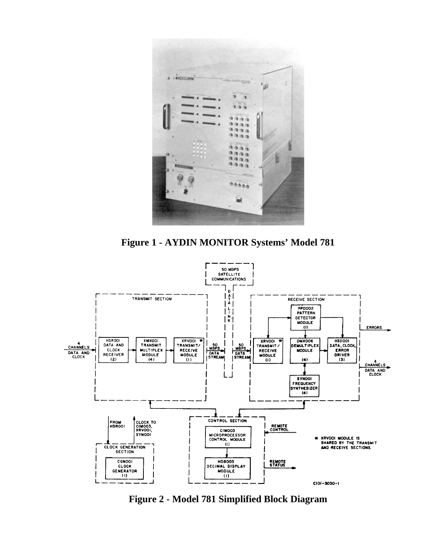

**Figure 1 - AYDIN MONITOR Systems' Model 781**



**Figure 2 - Model 781 Simplified Block Diagram**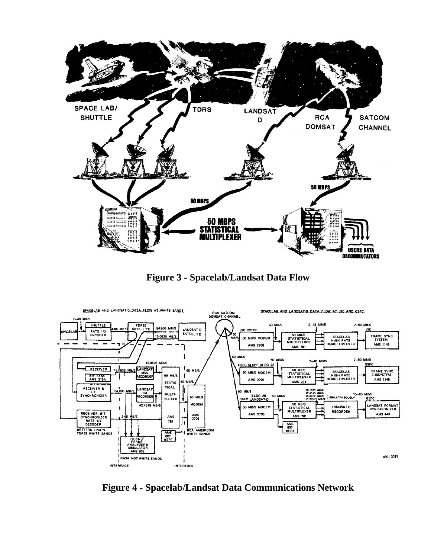

**Figure 3 - Spacelab/Landsat Data Flow**



**Figure 4 - Spacelab/Landsat Data Communications Network**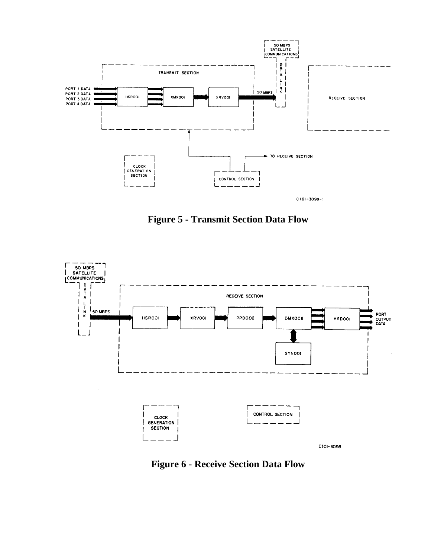

**Figure 5 - Transmit Section Data Flow**



**Figure 6 - Receive Section Data Flow**